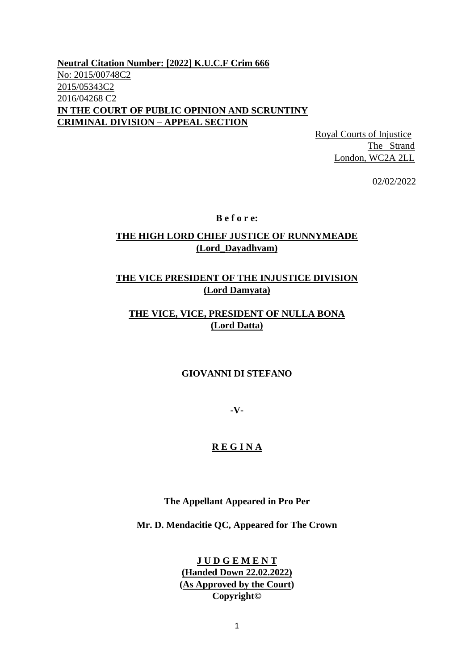**Neutral Citation Number: [2022] K.U.C.F Crim 666** No: 2015/00748C2 2015/05343C2 2016/04268 C2 **IN THE COURT OF PUBLIC OPINION AND SCRUNTINY CRIMINAL DIVISION – APPEAL SECTION** 

> Royal Courts of Injustice The Strand London, WC2A 2LL

> > 02/02/2022

**B e f o r e:**

### **THE HIGH LORD CHIEF JUSTICE OF RUNNYMEADE (Lord\_Dayadhvam)**

### **THE VICE PRESIDENT OF THE INJUSTICE DIVISION (Lord Damyata)**

# **THE VICE, VICE, PRESIDENT OF NULLA BONA (Lord Datta)**

#### **GIOVANNI DI STEFANO**

**-V-**

#### **R E G I N A**

**The Appellant Appeared in Pro Per**

**Mr. D. Mendacitie QC, Appeared for The Crown**

**J U D G E M E N T (Handed Down 22.02.2022) (As Approved by the Court) Copyright©**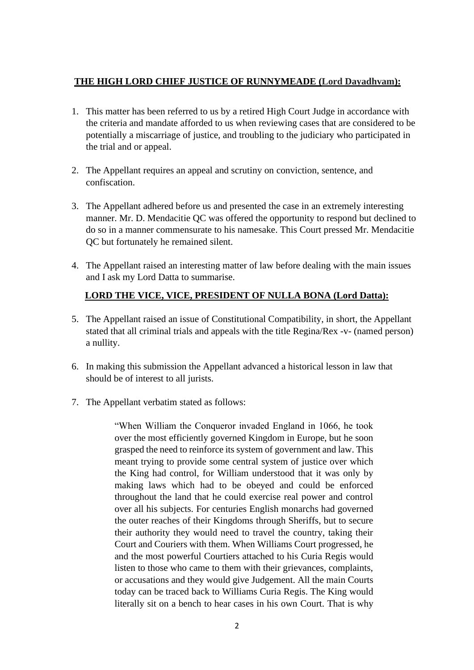# **THE HIGH LORD CHIEF JUSTICE OF RUNNYMEADE (Lord Dayadhvam):**

- 1. This matter has been referred to us by a retired High Court Judge in accordance with the criteria and mandate afforded to us when reviewing cases that are considered to be potentially a miscarriage of justice, and troubling to the judiciary who participated in the trial and or appeal.
- 2. The Appellant requires an appeal and scrutiny on conviction, sentence, and confiscation.
- 3. The Appellant adhered before us and presented the case in an extremely interesting manner. Mr. D. Mendacitie QC was offered the opportunity to respond but declined to do so in a manner commensurate to his namesake. This Court pressed Mr. Mendacitie QC but fortunately he remained silent.
- 4. The Appellant raised an interesting matter of law before dealing with the main issues and I ask my Lord Datta to summarise.

# **LORD THE VICE, VICE, PRESIDENT OF NULLA BONA (Lord Datta):**

- 5. The Appellant raised an issue of Constitutional Compatibility, in short, the Appellant stated that all criminal trials and appeals with the title Regina/Rex -v- (named person) a nullity.
- 6. In making this submission the Appellant advanced a historical lesson in law that should be of interest to all jurists.
- 7. The Appellant verbatim stated as follows:

"When William the Conqueror invaded England in 1066, he took over the most efficiently governed Kingdom in Europe, but he soon grasped the need to reinforce its system of government and law. This meant trying to provide some central system of justice over which the King had control, for William understood that it was only by making laws which had to be obeyed and could be enforced throughout the land that he could exercise real power and control over all his subjects. For centuries English monarchs had governed the outer reaches of their Kingdoms through Sheriffs, but to secure their authority they would need to travel the country, taking their Court and Couriers with them. When Williams Court progressed, he and the most powerful Courtiers attached to his Curia Regis would listen to those who came to them with their grievances, complaints, or accusations and they would give Judgement. All the main Courts today can be traced back to Williams Curia Regis. The King would literally sit on a bench to hear cases in his own Court. That is why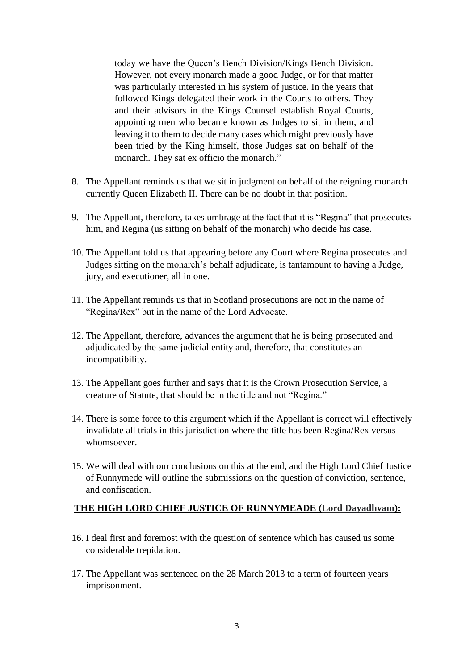today we have the Queen's Bench Division/Kings Bench Division. However, not every monarch made a good Judge, or for that matter was particularly interested in his system of justice. In the years that followed Kings delegated their work in the Courts to others. They and their advisors in the Kings Counsel establish Royal Courts, appointing men who became known as Judges to sit in them, and leaving it to them to decide many cases which might previously have been tried by the King himself, those Judges sat on behalf of the monarch. They sat ex officio the monarch."

- 8. The Appellant reminds us that we sit in judgment on behalf of the reigning monarch currently Queen Elizabeth II. There can be no doubt in that position.
- 9. The Appellant, therefore, takes umbrage at the fact that it is "Regina" that prosecutes him, and Regina (us sitting on behalf of the monarch) who decide his case.
- 10. The Appellant told us that appearing before any Court where Regina prosecutes and Judges sitting on the monarch's behalf adjudicate, is tantamount to having a Judge, jury, and executioner, all in one.
- 11. The Appellant reminds us that in Scotland prosecutions are not in the name of "Regina/Rex" but in the name of the Lord Advocate.
- 12. The Appellant, therefore, advances the argument that he is being prosecuted and adjudicated by the same judicial entity and, therefore, that constitutes an incompatibility.
- 13. The Appellant goes further and says that it is the Crown Prosecution Service, a creature of Statute, that should be in the title and not "Regina."
- 14. There is some force to this argument which if the Appellant is correct will effectively invalidate all trials in this jurisdiction where the title has been Regina/Rex versus whomsoever.
- 15. We will deal with our conclusions on this at the end, and the High Lord Chief Justice of Runnymede will outline the submissions on the question of conviction, sentence, and confiscation.

### **THE HIGH LORD CHIEF JUSTICE OF RUNNYMEADE (Lord Dayadhvam):**

- 16. I deal first and foremost with the question of sentence which has caused us some considerable trepidation.
- 17. The Appellant was sentenced on the 28 March 2013 to a term of fourteen years imprisonment.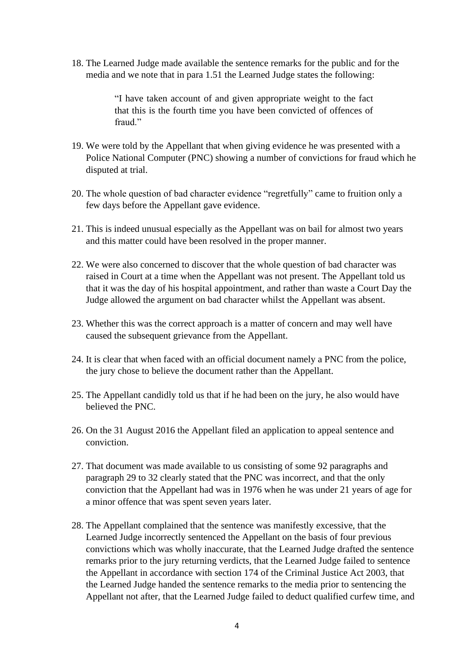18. The Learned Judge made available the sentence remarks for the public and for the media and we note that in para 1.51 the Learned Judge states the following:

> "I have taken account of and given appropriate weight to the fact that this is the fourth time you have been convicted of offences of fraud<sup>"</sup>

- 19. We were told by the Appellant that when giving evidence he was presented with a Police National Computer (PNC) showing a number of convictions for fraud which he disputed at trial.
- 20. The whole question of bad character evidence "regretfully" came to fruition only a few days before the Appellant gave evidence.
- 21. This is indeed unusual especially as the Appellant was on bail for almost two years and this matter could have been resolved in the proper manner.
- 22. We were also concerned to discover that the whole question of bad character was raised in Court at a time when the Appellant was not present. The Appellant told us that it was the day of his hospital appointment, and rather than waste a Court Day the Judge allowed the argument on bad character whilst the Appellant was absent.
- 23. Whether this was the correct approach is a matter of concern and may well have caused the subsequent grievance from the Appellant.
- 24. It is clear that when faced with an official document namely a PNC from the police, the jury chose to believe the document rather than the Appellant.
- 25. The Appellant candidly told us that if he had been on the jury, he also would have believed the PNC.
- 26. On the 31 August 2016 the Appellant filed an application to appeal sentence and conviction.
- 27. That document was made available to us consisting of some 92 paragraphs and paragraph 29 to 32 clearly stated that the PNC was incorrect, and that the only conviction that the Appellant had was in 1976 when he was under 21 years of age for a minor offence that was spent seven years later.
- 28. The Appellant complained that the sentence was manifestly excessive, that the Learned Judge incorrectly sentenced the Appellant on the basis of four previous convictions which was wholly inaccurate, that the Learned Judge drafted the sentence remarks prior to the jury returning verdicts, that the Learned Judge failed to sentence the Appellant in accordance with section 174 of the Criminal Justice Act 2003, that the Learned Judge handed the sentence remarks to the media prior to sentencing the Appellant not after, that the Learned Judge failed to deduct qualified curfew time, and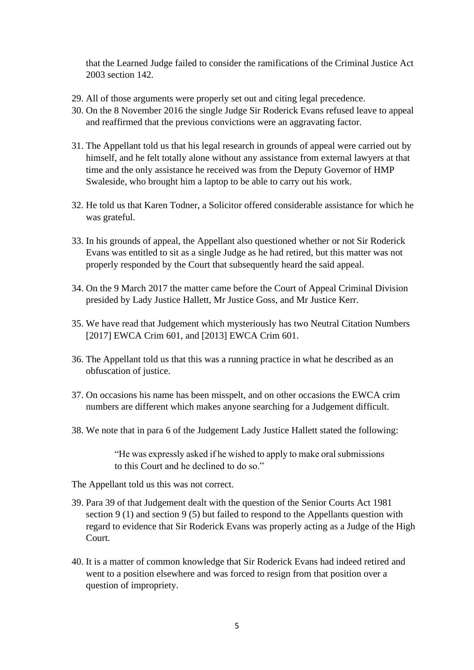that the Learned Judge failed to consider the ramifications of the Criminal Justice Act 2003 section 142.

- 29. All of those arguments were properly set out and citing legal precedence.
- 30. On the 8 November 2016 the single Judge Sir Roderick Evans refused leave to appeal and reaffirmed that the previous convictions were an aggravating factor.
- 31. The Appellant told us that his legal research in grounds of appeal were carried out by himself, and he felt totally alone without any assistance from external lawyers at that time and the only assistance he received was from the Deputy Governor of HMP Swaleside, who brought him a laptop to be able to carry out his work.
- 32. He told us that Karen Todner, a Solicitor offered considerable assistance for which he was grateful.
- 33. In his grounds of appeal, the Appellant also questioned whether or not Sir Roderick Evans was entitled to sit as a single Judge as he had retired, but this matter was not properly responded by the Court that subsequently heard the said appeal.
- 34. On the 9 March 2017 the matter came before the Court of Appeal Criminal Division presided by Lady Justice Hallett, Mr Justice Goss, and Mr Justice Kerr.
- 35. We have read that Judgement which mysteriously has two Neutral Citation Numbers [2017] EWCA Crim 601, and [2013] EWCA Crim 601.
- 36. The Appellant told us that this was a running practice in what he described as an obfuscation of justice.
- 37. On occasions his name has been misspelt, and on other occasions the EWCA crim numbers are different which makes anyone searching for a Judgement difficult.
- 38. We note that in para 6 of the Judgement Lady Justice Hallett stated the following:

"He was expressly asked if he wished to apply to make oral submissions to this Court and he declined to do so."

The Appellant told us this was not correct.

- 39. Para 39 of that Judgement dealt with the question of the Senior Courts Act 1981 section 9 (1) and section 9 (5) but failed to respond to the Appellants question with regard to evidence that Sir Roderick Evans was properly acting as a Judge of the High Court.
- 40. It is a matter of common knowledge that Sir Roderick Evans had indeed retired and went to a position elsewhere and was forced to resign from that position over a question of impropriety.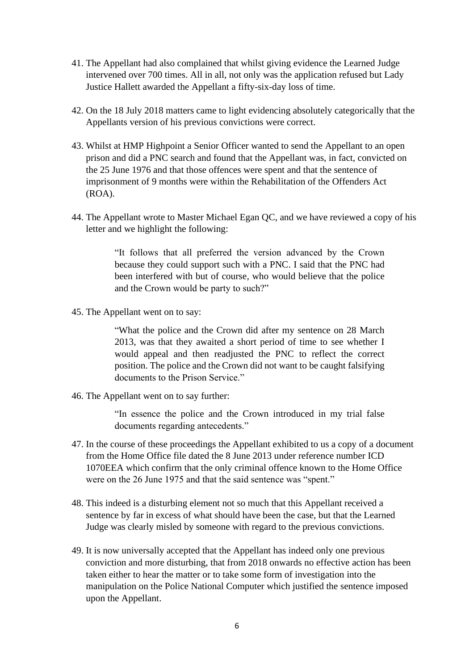- 41. The Appellant had also complained that whilst giving evidence the Learned Judge intervened over 700 times. All in all, not only was the application refused but Lady Justice Hallett awarded the Appellant a fifty-six-day loss of time.
- 42. On the 18 July 2018 matters came to light evidencing absolutely categorically that the Appellants version of his previous convictions were correct.
- 43. Whilst at HMP Highpoint a Senior Officer wanted to send the Appellant to an open prison and did a PNC search and found that the Appellant was, in fact, convicted on the 25 June 1976 and that those offences were spent and that the sentence of imprisonment of 9 months were within the Rehabilitation of the Offenders Act (ROA).
- 44. The Appellant wrote to Master Michael Egan QC, and we have reviewed a copy of his letter and we highlight the following:

"It follows that all preferred the version advanced by the Crown because they could support such with a PNC. I said that the PNC had been interfered with but of course, who would believe that the police and the Crown would be party to such?"

45. The Appellant went on to say:

"What the police and the Crown did after my sentence on 28 March 2013, was that they awaited a short period of time to see whether I would appeal and then readjusted the PNC to reflect the correct position. The police and the Crown did not want to be caught falsifying documents to the Prison Service."

46. The Appellant went on to say further:

"In essence the police and the Crown introduced in my trial false documents regarding antecedents."

- 47. In the course of these proceedings the Appellant exhibited to us a copy of a document from the Home Office file dated the 8 June 2013 under reference number ICD 1070EEA which confirm that the only criminal offence known to the Home Office were on the 26 June 1975 and that the said sentence was "spent."
- 48. This indeed is a disturbing element not so much that this Appellant received a sentence by far in excess of what should have been the case, but that the Learned Judge was clearly misled by someone with regard to the previous convictions.
- 49. It is now universally accepted that the Appellant has indeed only one previous conviction and more disturbing, that from 2018 onwards no effective action has been taken either to hear the matter or to take some form of investigation into the manipulation on the Police National Computer which justified the sentence imposed upon the Appellant.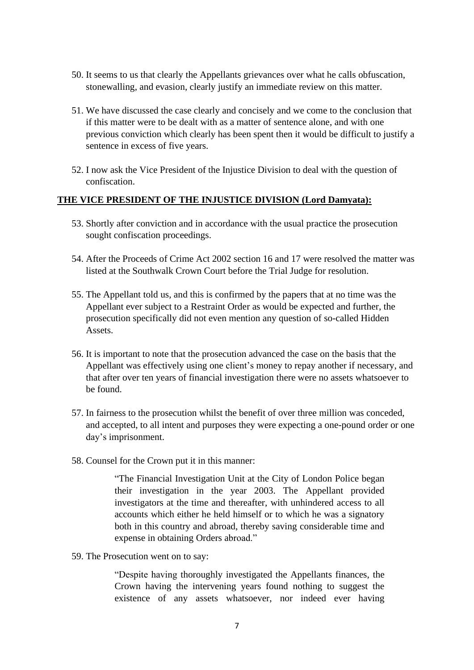- 50. It seems to us that clearly the Appellants grievances over what he calls obfuscation, stonewalling, and evasion, clearly justify an immediate review on this matter.
- 51. We have discussed the case clearly and concisely and we come to the conclusion that if this matter were to be dealt with as a matter of sentence alone, and with one previous conviction which clearly has been spent then it would be difficult to justify a sentence in excess of five years.
- 52. I now ask the Vice President of the Injustice Division to deal with the question of confiscation.

#### **THE VICE PRESIDENT OF THE INJUSTICE DIVISION (Lord Damyata):**

- 53. Shortly after conviction and in accordance with the usual practice the prosecution sought confiscation proceedings.
- 54. After the Proceeds of Crime Act 2002 section 16 and 17 were resolved the matter was listed at the Southwalk Crown Court before the Trial Judge for resolution.
- 55. The Appellant told us, and this is confirmed by the papers that at no time was the Appellant ever subject to a Restraint Order as would be expected and further, the prosecution specifically did not even mention any question of so-called Hidden Assets.
- 56. It is important to note that the prosecution advanced the case on the basis that the Appellant was effectively using one client's money to repay another if necessary, and that after over ten years of financial investigation there were no assets whatsoever to be found.
- 57. In fairness to the prosecution whilst the benefit of over three million was conceded, and accepted, to all intent and purposes they were expecting a one-pound order or one day's imprisonment.
- 58. Counsel for the Crown put it in this manner:

"The Financial Investigation Unit at the City of London Police began their investigation in the year 2003. The Appellant provided investigators at the time and thereafter, with unhindered access to all accounts which either he held himself or to which he was a signatory both in this country and abroad, thereby saving considerable time and expense in obtaining Orders abroad."

59. The Prosecution went on to say:

"Despite having thoroughly investigated the Appellants finances, the Crown having the intervening years found nothing to suggest the existence of any assets whatsoever, nor indeed ever having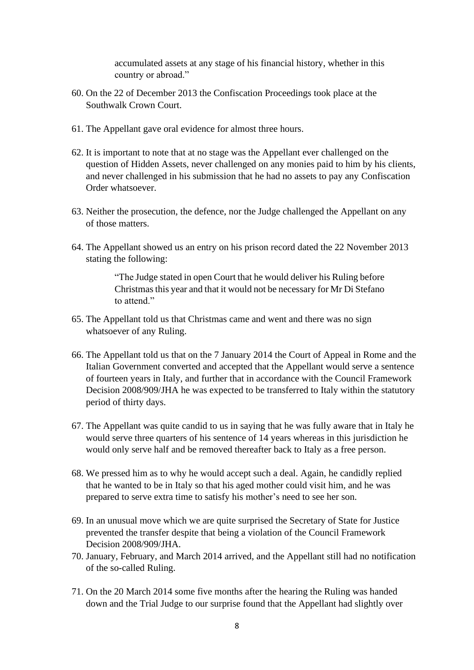accumulated assets at any stage of his financial history, whether in this country or abroad."

- 60. On the 22 of December 2013 the Confiscation Proceedings took place at the Southwalk Crown Court.
- 61. The Appellant gave oral evidence for almost three hours.
- 62. It is important to note that at no stage was the Appellant ever challenged on the question of Hidden Assets, never challenged on any monies paid to him by his clients, and never challenged in his submission that he had no assets to pay any Confiscation Order whatsoever.
- 63. Neither the prosecution, the defence, nor the Judge challenged the Appellant on any of those matters.
- 64. The Appellant showed us an entry on his prison record dated the 22 November 2013 stating the following:

"The Judge stated in open Court that he would deliver his Ruling before Christmas this year and that it would not be necessary for Mr Di Stefano to attend."

- 65. The Appellant told us that Christmas came and went and there was no sign whatsoever of any Ruling.
- 66. The Appellant told us that on the 7 January 2014 the Court of Appeal in Rome and the Italian Government converted and accepted that the Appellant would serve a sentence of fourteen years in Italy, and further that in accordance with the Council Framework Decision 2008/909/JHA he was expected to be transferred to Italy within the statutory period of thirty days.
- 67. The Appellant was quite candid to us in saying that he was fully aware that in Italy he would serve three quarters of his sentence of 14 years whereas in this jurisdiction he would only serve half and be removed thereafter back to Italy as a free person.
- 68. We pressed him as to why he would accept such a deal. Again, he candidly replied that he wanted to be in Italy so that his aged mother could visit him, and he was prepared to serve extra time to satisfy his mother's need to see her son.
- 69. In an unusual move which we are quite surprised the Secretary of State for Justice prevented the transfer despite that being a violation of the Council Framework Decision 2008/909/JHA.
- 70. January, February, and March 2014 arrived, and the Appellant still had no notification of the so-called Ruling.
- 71. On the 20 March 2014 some five months after the hearing the Ruling was handed down and the Trial Judge to our surprise found that the Appellant had slightly over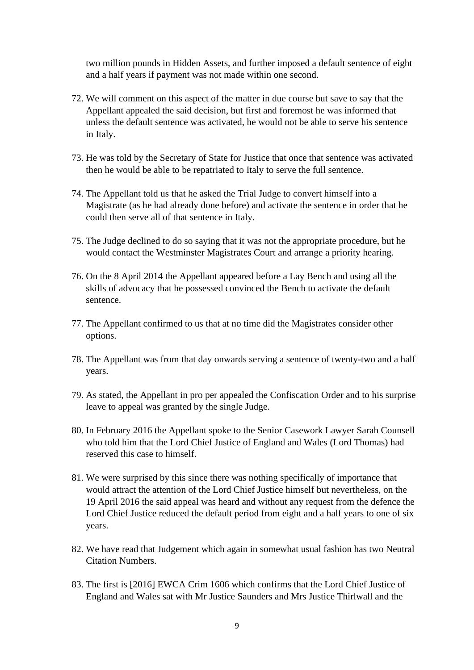two million pounds in Hidden Assets, and further imposed a default sentence of eight and a half years if payment was not made within one second.

- 72. We will comment on this aspect of the matter in due course but save to say that the Appellant appealed the said decision, but first and foremost he was informed that unless the default sentence was activated, he would not be able to serve his sentence in Italy.
- 73. He was told by the Secretary of State for Justice that once that sentence was activated then he would be able to be repatriated to Italy to serve the full sentence.
- 74. The Appellant told us that he asked the Trial Judge to convert himself into a Magistrate (as he had already done before) and activate the sentence in order that he could then serve all of that sentence in Italy.
- 75. The Judge declined to do so saying that it was not the appropriate procedure, but he would contact the Westminster Magistrates Court and arrange a priority hearing.
- 76. On the 8 April 2014 the Appellant appeared before a Lay Bench and using all the skills of advocacy that he possessed convinced the Bench to activate the default sentence.
- 77. The Appellant confirmed to us that at no time did the Magistrates consider other options.
- 78. The Appellant was from that day onwards serving a sentence of twenty-two and a half years.
- 79. As stated, the Appellant in pro per appealed the Confiscation Order and to his surprise leave to appeal was granted by the single Judge.
- 80. In February 2016 the Appellant spoke to the Senior Casework Lawyer Sarah Counsell who told him that the Lord Chief Justice of England and Wales (Lord Thomas) had reserved this case to himself.
- 81. We were surprised by this since there was nothing specifically of importance that would attract the attention of the Lord Chief Justice himself but nevertheless, on the 19 April 2016 the said appeal was heard and without any request from the defence the Lord Chief Justice reduced the default period from eight and a half years to one of six years.
- 82. We have read that Judgement which again in somewhat usual fashion has two Neutral Citation Numbers.
- 83. The first is [2016] EWCA Crim 1606 which confirms that the Lord Chief Justice of England and Wales sat with Mr Justice Saunders and Mrs Justice Thirlwall and the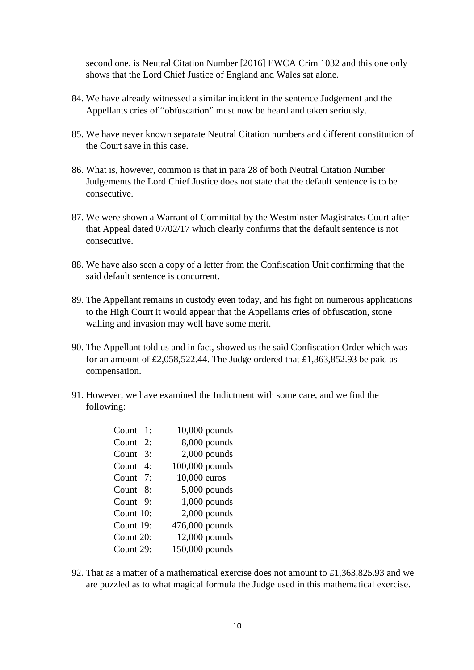second one, is Neutral Citation Number [2016] EWCA Crim 1032 and this one only shows that the Lord Chief Justice of England and Wales sat alone.

- 84. We have already witnessed a similar incident in the sentence Judgement and the Appellants cries of "obfuscation" must now be heard and taken seriously.
- 85. We have never known separate Neutral Citation numbers and different constitution of the Court save in this case.
- 86. What is, however, common is that in para 28 of both Neutral Citation Number Judgements the Lord Chief Justice does not state that the default sentence is to be consecutive.
- 87. We were shown a Warrant of Committal by the Westminster Magistrates Court after that Appeal dated 07/02/17 which clearly confirms that the default sentence is not consecutive.
- 88. We have also seen a copy of a letter from the Confiscation Unit confirming that the said default sentence is concurrent.
- 89. The Appellant remains in custody even today, and his fight on numerous applications to the High Court it would appear that the Appellants cries of obfuscation, stone walling and invasion may well have some merit.
- 90. The Appellant told us and in fact, showed us the said Confiscation Order which was for an amount of £2,058,522.44. The Judge ordered that £1,363,852.93 be paid as compensation.
- 91. However, we have examined the Indictment with some care, and we find the following:

| Count 1:                 | $10,000$ pounds |
|--------------------------|-----------------|
| Count 2:                 | 8,000 pounds    |
| Count<br>$\mathcal{E}$ : | $2,000$ pounds  |
| Count 4:                 | 100,000 pounds  |
| Count 7:                 | 10,000 euros    |
| Count 8:                 | $5,000$ pounds  |
| Count 9:                 | 1,000 pounds    |
| Count 10:                | 2,000 pounds    |
| Count 19:                | 476,000 pounds  |
| Count 20:                | 12,000 pounds   |
| Count 29:                | 150,000 pounds  |

92. That as a matter of a mathematical exercise does not amount to £1,363,825.93 and we are puzzled as to what magical formula the Judge used in this mathematical exercise.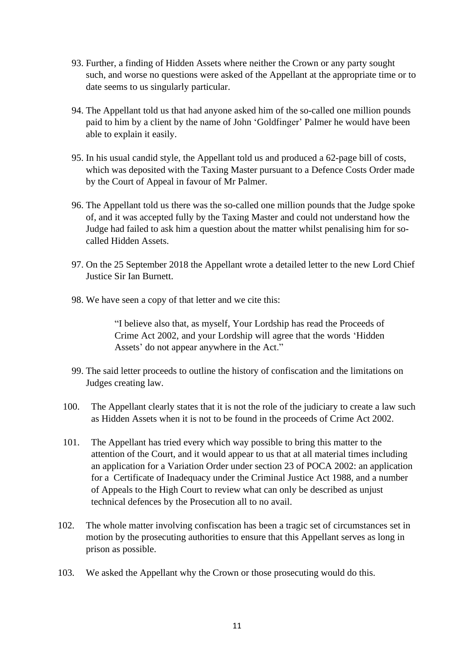- 93. Further, a finding of Hidden Assets where neither the Crown or any party sought such, and worse no questions were asked of the Appellant at the appropriate time or to date seems to us singularly particular.
- 94. The Appellant told us that had anyone asked him of the so-called one million pounds paid to him by a client by the name of John 'Goldfinger' Palmer he would have been able to explain it easily.
- 95. In his usual candid style, the Appellant told us and produced a 62-page bill of costs, which was deposited with the Taxing Master pursuant to a Defence Costs Order made by the Court of Appeal in favour of Mr Palmer.
- 96. The Appellant told us there was the so-called one million pounds that the Judge spoke of, and it was accepted fully by the Taxing Master and could not understand how the Judge had failed to ask him a question about the matter whilst penalising him for socalled Hidden Assets.
- 97. On the 25 September 2018 the Appellant wrote a detailed letter to the new Lord Chief Justice Sir Ian Burnett.
- 98. We have seen a copy of that letter and we cite this:

"I believe also that, as myself, Your Lordship has read the Proceeds of Crime Act 2002, and your Lordship will agree that the words 'Hidden Assets' do not appear anywhere in the Act."

- 99. The said letter proceeds to outline the history of confiscation and the limitations on Judges creating law.
- 100. The Appellant clearly states that it is not the role of the judiciary to create a law such as Hidden Assets when it is not to be found in the proceeds of Crime Act 2002.
- 101. The Appellant has tried every which way possible to bring this matter to the attention of the Court, and it would appear to us that at all material times including an application for a Variation Order under section 23 of POCA 2002: an application for a Certificate of Inadequacy under the Criminal Justice Act 1988, and a number of Appeals to the High Court to review what can only be described as unjust technical defences by the Prosecution all to no avail.
- 102. The whole matter involving confiscation has been a tragic set of circumstances set in motion by the prosecuting authorities to ensure that this Appellant serves as long in prison as possible.
- 103. We asked the Appellant why the Crown or those prosecuting would do this.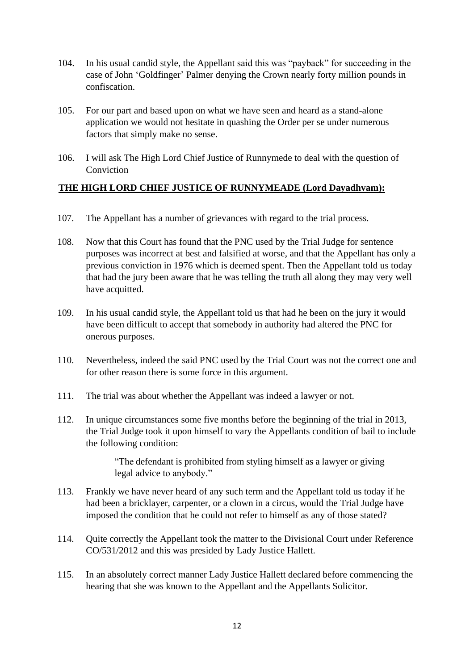- 104. In his usual candid style, the Appellant said this was "payback" for succeeding in the case of John 'Goldfinger' Palmer denying the Crown nearly forty million pounds in confiscation.
- 105. For our part and based upon on what we have seen and heard as a stand-alone application we would not hesitate in quashing the Order per se under numerous factors that simply make no sense.
- 106. I will ask The High Lord Chief Justice of Runnymede to deal with the question of Conviction

# **THE HIGH LORD CHIEF JUSTICE OF RUNNYMEADE (Lord Dayadhvam):**

- 107. The Appellant has a number of grievances with regard to the trial process.
- 108. Now that this Court has found that the PNC used by the Trial Judge for sentence purposes was incorrect at best and falsified at worse, and that the Appellant has only a previous conviction in 1976 which is deemed spent. Then the Appellant told us today that had the jury been aware that he was telling the truth all along they may very well have acquitted.
- 109. In his usual candid style, the Appellant told us that had he been on the jury it would have been difficult to accept that somebody in authority had altered the PNC for onerous purposes.
- 110. Nevertheless, indeed the said PNC used by the Trial Court was not the correct one and for other reason there is some force in this argument.
- 111. The trial was about whether the Appellant was indeed a lawyer or not.
- 112. In unique circumstances some five months before the beginning of the trial in 2013, the Trial Judge took it upon himself to vary the Appellants condition of bail to include the following condition:

"The defendant is prohibited from styling himself as a lawyer or giving legal advice to anybody."

- 113. Frankly we have never heard of any such term and the Appellant told us today if he had been a bricklayer, carpenter, or a clown in a circus, would the Trial Judge have imposed the condition that he could not refer to himself as any of those stated?
- 114. Quite correctly the Appellant took the matter to the Divisional Court under Reference CO/531/2012 and this was presided by Lady Justice Hallett.
- 115. In an absolutely correct manner Lady Justice Hallett declared before commencing the hearing that she was known to the Appellant and the Appellants Solicitor.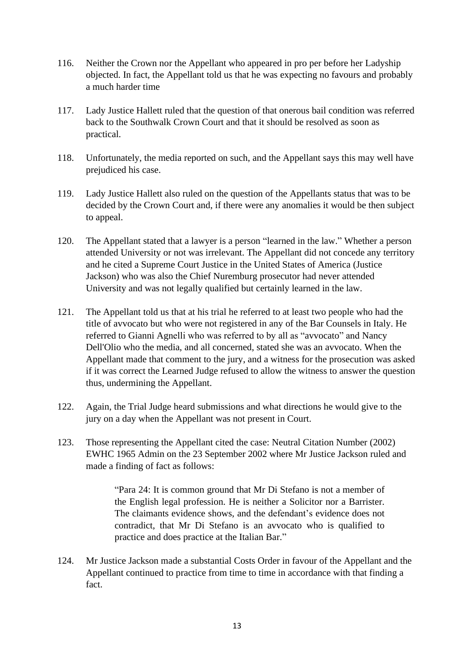- 116. Neither the Crown nor the Appellant who appeared in pro per before her Ladyship objected. In fact, the Appellant told us that he was expecting no favours and probably a much harder time
- 117. Lady Justice Hallett ruled that the question of that onerous bail condition was referred back to the Southwalk Crown Court and that it should be resolved as soon as practical.
- 118. Unfortunately, the media reported on such, and the Appellant says this may well have prejudiced his case.
- 119. Lady Justice Hallett also ruled on the question of the Appellants status that was to be decided by the Crown Court and, if there were any anomalies it would be then subject to appeal.
- 120. The Appellant stated that a lawyer is a person "learned in the law." Whether a person attended University or not was irrelevant. The Appellant did not concede any territory and he cited a Supreme Court Justice in the United States of America (Justice Jackson) who was also the Chief Nuremburg prosecutor had never attended University and was not legally qualified but certainly learned in the law.
- 121. The Appellant told us that at his trial he referred to at least two people who had the title of avvocato but who were not registered in any of the Bar Counsels in Italy. He referred to Gianni Agnelli who was referred to by all as "avvocato" and Nancy Dell'Olio who the media, and all concerned, stated she was an avvocato. When the Appellant made that comment to the jury, and a witness for the prosecution was asked if it was correct the Learned Judge refused to allow the witness to answer the question thus, undermining the Appellant.
- 122. Again, the Trial Judge heard submissions and what directions he would give to the jury on a day when the Appellant was not present in Court.
- 123. Those representing the Appellant cited the case: Neutral Citation Number (2002) EWHC 1965 Admin on the 23 September 2002 where Mr Justice Jackson ruled and made a finding of fact as follows:

"Para 24: It is common ground that Mr Di Stefano is not a member of the English legal profession. He is neither a Solicitor nor a Barrister. The claimants evidence shows, and the defendant's evidence does not contradict, that Mr Di Stefano is an avvocato who is qualified to practice and does practice at the Italian Bar."

124. Mr Justice Jackson made a substantial Costs Order in favour of the Appellant and the Appellant continued to practice from time to time in accordance with that finding a fact.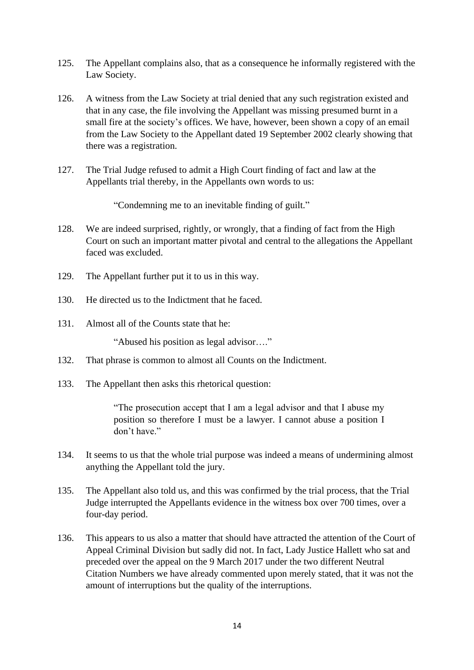- 125. The Appellant complains also, that as a consequence he informally registered with the Law Society.
- 126. A witness from the Law Society at trial denied that any such registration existed and that in any case, the file involving the Appellant was missing presumed burnt in a small fire at the society's offices. We have, however, been shown a copy of an email from the Law Society to the Appellant dated 19 September 2002 clearly showing that there was a registration.
- 127. The Trial Judge refused to admit a High Court finding of fact and law at the Appellants trial thereby, in the Appellants own words to us:

"Condemning me to an inevitable finding of guilt."

- 128. We are indeed surprised, rightly, or wrongly, that a finding of fact from the High Court on such an important matter pivotal and central to the allegations the Appellant faced was excluded.
- 129. The Appellant further put it to us in this way.
- 130. He directed us to the Indictment that he faced.
- 131. Almost all of the Counts state that he:

"Abused his position as legal advisor…."

- 132. That phrase is common to almost all Counts on the Indictment.
- 133. The Appellant then asks this rhetorical question:

"The prosecution accept that I am a legal advisor and that I abuse my position so therefore I must be a lawyer. I cannot abuse a position I don't have."

- 134. It seems to us that the whole trial purpose was indeed a means of undermining almost anything the Appellant told the jury.
- 135. The Appellant also told us, and this was confirmed by the trial process, that the Trial Judge interrupted the Appellants evidence in the witness box over 700 times, over a four-day period.
- 136. This appears to us also a matter that should have attracted the attention of the Court of Appeal Criminal Division but sadly did not. In fact, Lady Justice Hallett who sat and preceded over the appeal on the 9 March 2017 under the two different Neutral Citation Numbers we have already commented upon merely stated, that it was not the amount of interruptions but the quality of the interruptions.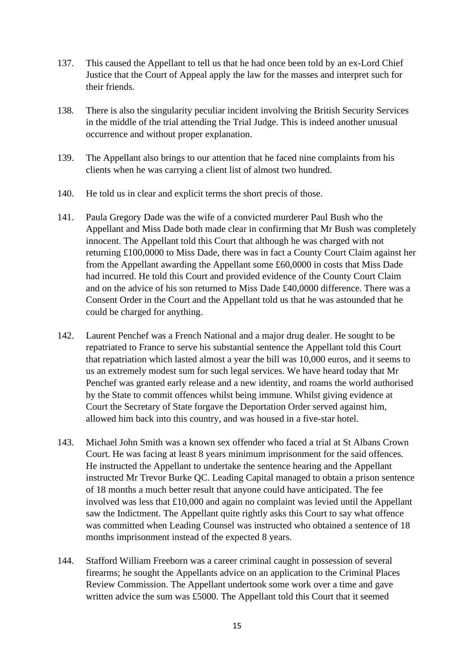- 137. This caused the Appellant to tell us that he had once been told by an ex-Lord Chief Justice that the Court of Appeal apply the law for the masses and interpret such for their friends.
- 138. There is also the singularity peculiar incident involving the British Security Services in the middle of the trial attending the Trial Judge. This is indeed another unusual occurrence and without proper explanation.
- 139. The Appellant also brings to our attention that he faced nine complaints from his clients when he was carrying a client list of almost two hundred.
- 140. He told us in clear and explicit terms the short precis of those.
- 141. Paula Gregory Dade was the wife of a convicted murderer Paul Bush who the Appellant and Miss Dade both made clear in confirming that Mr Bush was completely innocent. The Appellant told this Court that although he was charged with not returning £100,0000 to Miss Dade, there was in fact a County Court Claim against her from the Appellant awarding the Appellant some £60,0000 in costs that Miss Dade had incurred. He told this Court and provided evidence of the County Court Claim and on the advice of his son returned to Miss Dade £40,0000 difference. There was a Consent Order in the Court and the Appellant told us that he was astounded that he could be charged for anything.
- 142. Laurent Penchef was a French National and a major drug dealer. He sought to be repatriated to France to serve his substantial sentence the Appellant told this Court that repatriation which lasted almost a year the bill was 10,000 euros, and it seems to us an extremely modest sum for such legal services. We have heard today that Mr Penchef was granted early release and a new identity, and roams the world authorised by the State to commit offences whilst being immune. Whilst giving evidence at Court the Secretary of State forgave the Deportation Order served against him, allowed him back into this country, and was housed in a five-star hotel.
- 143. Michael John Smith was a known sex offender who faced a trial at St Albans Crown Court. He was facing at least 8 years minimum imprisonment for the said offences. He instructed the Appellant to undertake the sentence hearing and the Appellant instructed Mr Trevor Burke QC. Leading Capital managed to obtain a prison sentence of 18 months a much better result that anyone could have anticipated. The fee involved was less that £10,000 and again no complaint was levied until the Appellant saw the Indictment. The Appellant quite rightly asks this Court to say what offence was committed when Leading Counsel was instructed who obtained a sentence of 18 months imprisonment instead of the expected 8 years.
- 144. Stafford William Freeborn was a career criminal caught in possession of several firearms; he sought the Appellants advice on an application to the Criminal Places Review Commission. The Appellant undertook some work over a time and gave written advice the sum was £5000. The Appellant told this Court that it seemed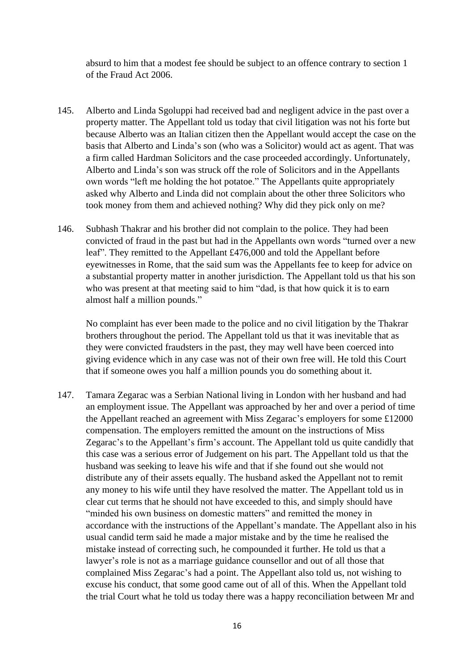absurd to him that a modest fee should be subject to an offence contrary to section 1 of the Fraud Act 2006.

- 145. Alberto and Linda Sgoluppi had received bad and negligent advice in the past over a property matter. The Appellant told us today that civil litigation was not his forte but because Alberto was an Italian citizen then the Appellant would accept the case on the basis that Alberto and Linda's son (who was a Solicitor) would act as agent. That was a firm called Hardman Solicitors and the case proceeded accordingly. Unfortunately, Alberto and Linda's son was struck off the role of Solicitors and in the Appellants own words "left me holding the hot potatoe." The Appellants quite appropriately asked why Alberto and Linda did not complain about the other three Solicitors who took money from them and achieved nothing? Why did they pick only on me?
- 146. Subhash Thakrar and his brother did not complain to the police. They had been convicted of fraud in the past but had in the Appellants own words "turned over a new leaf". They remitted to the Appellant £476,000 and told the Appellant before eyewitnesses in Rome, that the said sum was the Appellants fee to keep for advice on a substantial property matter in another jurisdiction. The Appellant told us that his son who was present at that meeting said to him "dad, is that how quick it is to earn almost half a million pounds."

No complaint has ever been made to the police and no civil litigation by the Thakrar brothers throughout the period. The Appellant told us that it was inevitable that as they were convicted fraudsters in the past, they may well have been coerced into giving evidence which in any case was not of their own free will. He told this Court that if someone owes you half a million pounds you do something about it.

147. Tamara Zegarac was a Serbian National living in London with her husband and had an employment issue. The Appellant was approached by her and over a period of time the Appellant reached an agreement with Miss Zegarac's employers for some £12000 compensation. The employers remitted the amount on the instructions of Miss Zegarac's to the Appellant's firm's account. The Appellant told us quite candidly that this case was a serious error of Judgement on his part. The Appellant told us that the husband was seeking to leave his wife and that if she found out she would not distribute any of their assets equally. The husband asked the Appellant not to remit any money to his wife until they have resolved the matter. The Appellant told us in clear cut terms that he should not have exceeded to this, and simply should have "minded his own business on domestic matters" and remitted the money in accordance with the instructions of the Appellant's mandate. The Appellant also in his usual candid term said he made a major mistake and by the time he realised the mistake instead of correcting such, he compounded it further. He told us that a lawyer's role is not as a marriage guidance counsellor and out of all those that complained Miss Zegarac's had a point. The Appellant also told us, not wishing to excuse his conduct, that some good came out of all of this. When the Appellant told the trial Court what he told us today there was a happy reconciliation between Mr and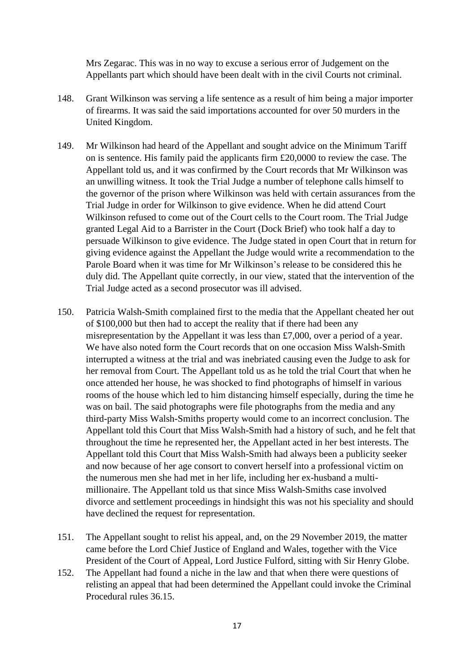Mrs Zegarac. This was in no way to excuse a serious error of Judgement on the Appellants part which should have been dealt with in the civil Courts not criminal.

- 148. Grant Wilkinson was serving a life sentence as a result of him being a major importer of firearms. It was said the said importations accounted for over 50 murders in the United Kingdom.
- 149. Mr Wilkinson had heard of the Appellant and sought advice on the Minimum Tariff on is sentence. His family paid the applicants firm £20,0000 to review the case. The Appellant told us, and it was confirmed by the Court records that Mr Wilkinson was an unwilling witness. It took the Trial Judge a number of telephone calls himself to the governor of the prison where Wilkinson was held with certain assurances from the Trial Judge in order for Wilkinson to give evidence. When he did attend Court Wilkinson refused to come out of the Court cells to the Court room. The Trial Judge granted Legal Aid to a Barrister in the Court (Dock Brief) who took half a day to persuade Wilkinson to give evidence. The Judge stated in open Court that in return for giving evidence against the Appellant the Judge would write a recommendation to the Parole Board when it was time for Mr Wilkinson's release to be considered this he duly did. The Appellant quite correctly, in our view, stated that the intervention of the Trial Judge acted as a second prosecutor was ill advised.
- 150. Patricia Walsh-Smith complained first to the media that the Appellant cheated her out of \$100,000 but then had to accept the reality that if there had been any misrepresentation by the Appellant it was less than £7,000, over a period of a year. We have also noted form the Court records that on one occasion Miss Walsh-Smith interrupted a witness at the trial and was inebriated causing even the Judge to ask for her removal from Court. The Appellant told us as he told the trial Court that when he once attended her house, he was shocked to find photographs of himself in various rooms of the house which led to him distancing himself especially, during the time he was on bail. The said photographs were file photographs from the media and any third-party Miss Walsh-Smiths property would come to an incorrect conclusion. The Appellant told this Court that Miss Walsh-Smith had a history of such, and he felt that throughout the time he represented her, the Appellant acted in her best interests. The Appellant told this Court that Miss Walsh-Smith had always been a publicity seeker and now because of her age consort to convert herself into a professional victim on the numerous men she had met in her life, including her ex-husband a multimillionaire. The Appellant told us that since Miss Walsh-Smiths case involved divorce and settlement proceedings in hindsight this was not his speciality and should have declined the request for representation.
- 151. The Appellant sought to relist his appeal, and, on the 29 November 2019, the matter came before the Lord Chief Justice of England and Wales, together with the Vice President of the Court of Appeal, Lord Justice Fulford, sitting with Sir Henry Globe.
- 152. The Appellant had found a niche in the law and that when there were questions of relisting an appeal that had been determined the Appellant could invoke the Criminal Procedural rules 36.15.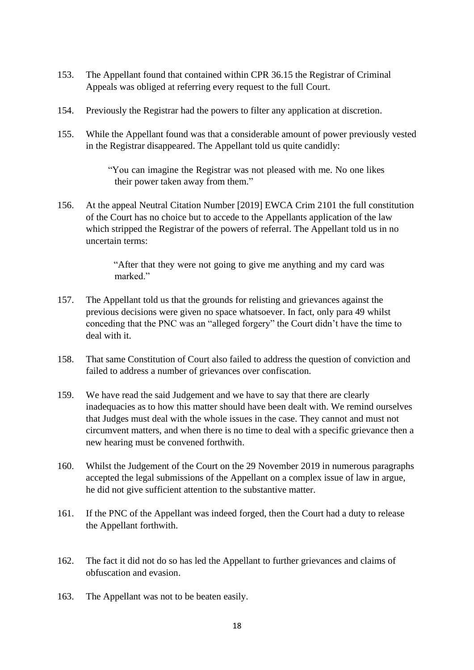- 153. The Appellant found that contained within CPR 36.15 the Registrar of Criminal Appeals was obliged at referring every request to the full Court.
- 154. Previously the Registrar had the powers to filter any application at discretion.
- 155. While the Appellant found was that a considerable amount of power previously vested in the Registrar disappeared. The Appellant told us quite candidly:

"You can imagine the Registrar was not pleased with me. No one likes their power taken away from them."

156. At the appeal Neutral Citation Number [2019] EWCA Crim 2101 the full constitution of the Court has no choice but to accede to the Appellants application of the law which stripped the Registrar of the powers of referral. The Appellant told us in no uncertain terms:

> "After that they were not going to give me anything and my card was marked."

- 157. The Appellant told us that the grounds for relisting and grievances against the previous decisions were given no space whatsoever. In fact, only para 49 whilst conceding that the PNC was an "alleged forgery" the Court didn't have the time to deal with it.
- 158. That same Constitution of Court also failed to address the question of conviction and failed to address a number of grievances over confiscation.
- 159. We have read the said Judgement and we have to say that there are clearly inadequacies as to how this matter should have been dealt with. We remind ourselves that Judges must deal with the whole issues in the case. They cannot and must not circumvent matters, and when there is no time to deal with a specific grievance then a new hearing must be convened forthwith.
- 160. Whilst the Judgement of the Court on the 29 November 2019 in numerous paragraphs accepted the legal submissions of the Appellant on a complex issue of law in argue, he did not give sufficient attention to the substantive matter.
- 161. If the PNC of the Appellant was indeed forged, then the Court had a duty to release the Appellant forthwith.
- 162. The fact it did not do so has led the Appellant to further grievances and claims of obfuscation and evasion.
- 163. The Appellant was not to be beaten easily.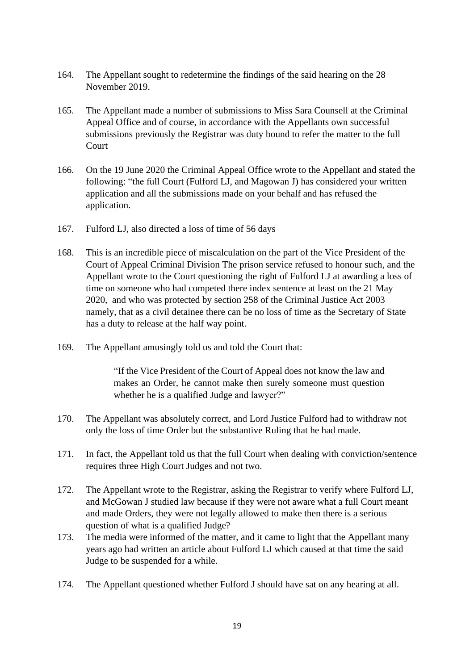- 164. The Appellant sought to redetermine the findings of the said hearing on the 28 November 2019.
- 165. The Appellant made a number of submissions to Miss Sara Counsell at the Criminal Appeal Office and of course, in accordance with the Appellants own successful submissions previously the Registrar was duty bound to refer the matter to the full **Court**
- 166. On the 19 June 2020 the Criminal Appeal Office wrote to the Appellant and stated the following: "the full Court (Fulford LJ, and Magowan J) has considered your written application and all the submissions made on your behalf and has refused the application.
- 167. Fulford LJ, also directed a loss of time of 56 days
- 168. This is an incredible piece of miscalculation on the part of the Vice President of the Court of Appeal Criminal Division The prison service refused to honour such, and the Appellant wrote to the Court questioning the right of Fulford LJ at awarding a loss of time on someone who had competed there index sentence at least on the 21 May 2020, and who was protected by section 258 of the Criminal Justice Act 2003 namely, that as a civil detainee there can be no loss of time as the Secretary of State has a duty to release at the half way point.
- 169. The Appellant amusingly told us and told the Court that:

"If the Vice President of the Court of Appeal does not know the law and makes an Order, he cannot make then surely someone must question whether he is a qualified Judge and lawyer?"

- 170. The Appellant was absolutely correct, and Lord Justice Fulford had to withdraw not only the loss of time Order but the substantive Ruling that he had made.
- 171. In fact, the Appellant told us that the full Court when dealing with conviction/sentence requires three High Court Judges and not two.
- 172. The Appellant wrote to the Registrar, asking the Registrar to verify where Fulford LJ, and McGowan J studied law because if they were not aware what a full Court meant and made Orders, they were not legally allowed to make then there is a serious question of what is a qualified Judge?
- 173. The media were informed of the matter, and it came to light that the Appellant many years ago had written an article about Fulford LJ which caused at that time the said Judge to be suspended for a while.
- 174. The Appellant questioned whether Fulford J should have sat on any hearing at all.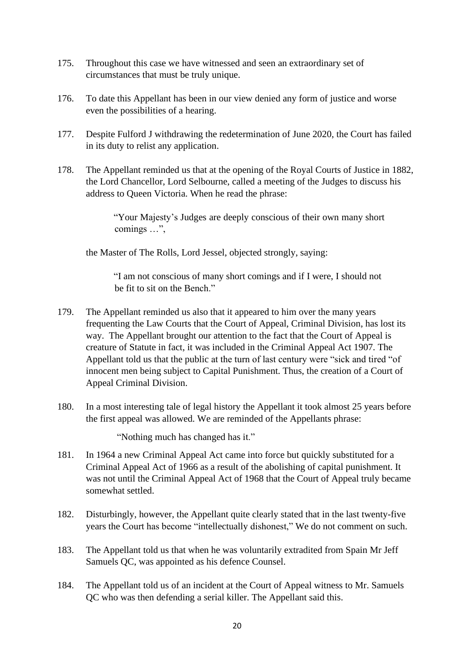- 175. Throughout this case we have witnessed and seen an extraordinary set of circumstances that must be truly unique.
- 176. To date this Appellant has been in our view denied any form of justice and worse even the possibilities of a hearing.
- 177. Despite Fulford J withdrawing the redetermination of June 2020, the Court has failed in its duty to relist any application.
- 178. The Appellant reminded us that at the opening of the Royal Courts of Justice in 1882, the Lord Chancellor, Lord Selbourne, called a meeting of the Judges to discuss his address to Queen Victoria. When he read the phrase:

"Your Majesty's Judges are deeply conscious of their own many short comings …",

the Master of The Rolls, Lord Jessel, objected strongly, saying:

"I am not conscious of many short comings and if I were, I should not be fit to sit on the Bench."

- 179. The Appellant reminded us also that it appeared to him over the many years frequenting the Law Courts that the Court of Appeal, Criminal Division, has lost its way. The Appellant brought our attention to the fact that the Court of Appeal is creature of Statute in fact, it was included in the Criminal Appeal Act 1907. The Appellant told us that the public at the turn of last century were "sick and tired "of innocent men being subject to Capital Punishment. Thus, the creation of a Court of Appeal Criminal Division.
- 180. In a most interesting tale of legal history the Appellant it took almost 25 years before the first appeal was allowed. We are reminded of the Appellants phrase:

"Nothing much has changed has it."

- 181. In 1964 a new Criminal Appeal Act came into force but quickly substituted for a Criminal Appeal Act of 1966 as a result of the abolishing of capital punishment. It was not until the Criminal Appeal Act of 1968 that the Court of Appeal truly became somewhat settled.
- 182. Disturbingly, however, the Appellant quite clearly stated that in the last twenty-five years the Court has become "intellectually dishonest," We do not comment on such.
- 183. The Appellant told us that when he was voluntarily extradited from Spain Mr Jeff Samuels QC, was appointed as his defence Counsel.
- 184. The Appellant told us of an incident at the Court of Appeal witness to Mr. Samuels QC who was then defending a serial killer. The Appellant said this.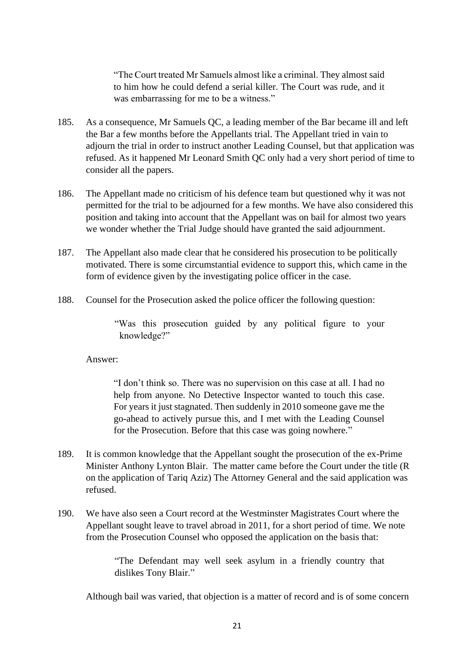"The Court treated Mr Samuels almost like a criminal. They almost said to him how he could defend a serial killer. The Court was rude, and it was embarrassing for me to be a witness."

- 185. As a consequence, Mr Samuels QC, a leading member of the Bar became ill and left the Bar a few months before the Appellants trial. The Appellant tried in vain to adjourn the trial in order to instruct another Leading Counsel, but that application was refused. As it happened Mr Leonard Smith QC only had a very short period of time to consider all the papers.
- 186. The Appellant made no criticism of his defence team but questioned why it was not permitted for the trial to be adjourned for a few months. We have also considered this position and taking into account that the Appellant was on bail for almost two years we wonder whether the Trial Judge should have granted the said adjournment.
- 187. The Appellant also made clear that he considered his prosecution to be politically motivated. There is some circumstantial evidence to support this, which came in the form of evidence given by the investigating police officer in the case.
- 188. Counsel for the Prosecution asked the police officer the following question:

"Was this prosecution guided by any political figure to your knowledge?"

#### Answer:

"I don't think so. There was no supervision on this case at all. I had no help from anyone. No Detective Inspector wanted to touch this case. For years it just stagnated. Then suddenly in 2010 someone gave me the go-ahead to actively pursue this, and I met with the Leading Counsel for the Prosecution. Before that this case was going nowhere."

- 189. It is common knowledge that the Appellant sought the prosecution of the ex-Prime Minister Anthony Lynton Blair. The matter came before the Court under the title (R on the application of Tariq Aziz) The Attorney General and the said application was refused.
- 190. We have also seen a Court record at the Westminster Magistrates Court where the Appellant sought leave to travel abroad in 2011, for a short period of time. We note from the Prosecution Counsel who opposed the application on the basis that:

"The Defendant may well seek asylum in a friendly country that dislikes Tony Blair."

Although bail was varied, that objection is a matter of record and is of some concern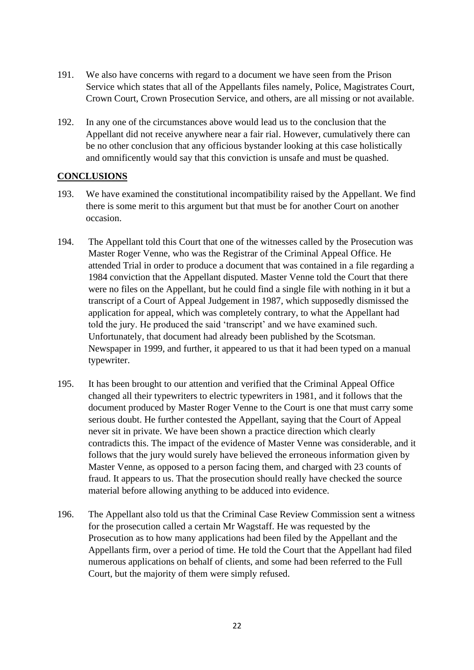- 191. We also have concerns with regard to a document we have seen from the Prison Service which states that all of the Appellants files namely, Police, Magistrates Court, Crown Court, Crown Prosecution Service, and others, are all missing or not available.
- 192. In any one of the circumstances above would lead us to the conclusion that the Appellant did not receive anywhere near a fair rial. However, cumulatively there can be no other conclusion that any officious bystander looking at this case holistically and omnificently would say that this conviction is unsafe and must be quashed.

### **CONCLUSIONS**

- 193. We have examined the constitutional incompatibility raised by the Appellant. We find there is some merit to this argument but that must be for another Court on another occasion.
- 194. The Appellant told this Court that one of the witnesses called by the Prosecution was Master Roger Venne, who was the Registrar of the Criminal Appeal Office. He attended Trial in order to produce a document that was contained in a file regarding a 1984 conviction that the Appellant disputed. Master Venne told the Court that there were no files on the Appellant, but he could find a single file with nothing in it but a transcript of a Court of Appeal Judgement in 1987, which supposedly dismissed the application for appeal, which was completely contrary, to what the Appellant had told the jury. He produced the said 'transcript' and we have examined such. Unfortunately, that document had already been published by the Scotsman. Newspaper in 1999, and further, it appeared to us that it had been typed on a manual typewriter.
- 195. It has been brought to our attention and verified that the Criminal Appeal Office changed all their typewriters to electric typewriters in 1981, and it follows that the document produced by Master Roger Venne to the Court is one that must carry some serious doubt. He further contested the Appellant, saying that the Court of Appeal never sit in private. We have been shown a practice direction which clearly contradicts this. The impact of the evidence of Master Venne was considerable, and it follows that the jury would surely have believed the erroneous information given by Master Venne, as opposed to a person facing them, and charged with 23 counts of fraud. It appears to us. That the prosecution should really have checked the source material before allowing anything to be adduced into evidence.
- 196. The Appellant also told us that the Criminal Case Review Commission sent a witness for the prosecution called a certain Mr Wagstaff. He was requested by the Prosecution as to how many applications had been filed by the Appellant and the Appellants firm, over a period of time. He told the Court that the Appellant had filed numerous applications on behalf of clients, and some had been referred to the Full Court, but the majority of them were simply refused.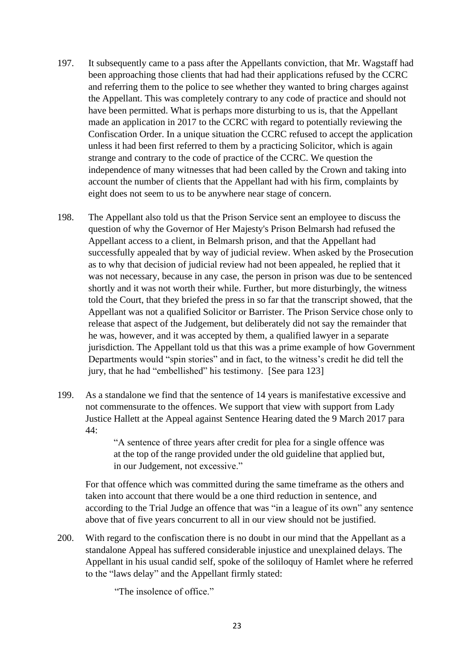- 197. It subsequently came to a pass after the Appellants conviction, that Mr. Wagstaff had been approaching those clients that had had their applications refused by the CCRC and referring them to the police to see whether they wanted to bring charges against the Appellant. This was completely contrary to any code of practice and should not have been permitted. What is perhaps more disturbing to us is, that the Appellant made an application in 2017 to the CCRC with regard to potentially reviewing the Confiscation Order. In a unique situation the CCRC refused to accept the application unless it had been first referred to them by a practicing Solicitor, which is again strange and contrary to the code of practice of the CCRC. We question the independence of many witnesses that had been called by the Crown and taking into account the number of clients that the Appellant had with his firm, complaints by eight does not seem to us to be anywhere near stage of concern.
- 198. The Appellant also told us that the Prison Service sent an employee to discuss the question of why the Governor of Her Majesty's Prison Belmarsh had refused the Appellant access to a client, in Belmarsh prison, and that the Appellant had successfully appealed that by way of judicial review. When asked by the Prosecution as to why that decision of judicial review had not been appealed, he replied that it was not necessary, because in any case, the person in prison was due to be sentenced shortly and it was not worth their while. Further, but more disturbingly, the witness told the Court, that they briefed the press in so far that the transcript showed, that the Appellant was not a qualified Solicitor or Barrister. The Prison Service chose only to release that aspect of the Judgement, but deliberately did not say the remainder that he was, however, and it was accepted by them, a qualified lawyer in a separate jurisdiction. The Appellant told us that this was a prime example of how Government Departments would "spin stories" and in fact, to the witness's credit he did tell the jury, that he had "embellished" his testimony. [See para 123]
- 199. As a standalone we find that the sentence of 14 years is manifestative excessive and not commensurate to the offences. We support that view with support from Lady Justice Hallett at the Appeal against Sentence Hearing dated the 9 March 2017 para 44:

"A sentence of three years after credit for plea for a single offence was at the top of the range provided under the old guideline that applied but, in our Judgement, not excessive."

For that offence which was committed during the same timeframe as the others and taken into account that there would be a one third reduction in sentence, and according to the Trial Judge an offence that was "in a league of its own" any sentence above that of five years concurrent to all in our view should not be justified.

200. With regard to the confiscation there is no doubt in our mind that the Appellant as a standalone Appeal has suffered considerable injustice and unexplained delays. The Appellant in his usual candid self, spoke of the soliloquy of Hamlet where he referred to the "laws delay" and the Appellant firmly stated:

"The insolence of office."